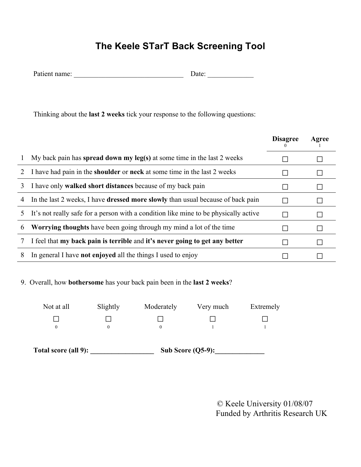## **The Keele STarT Back Screening Tool**

| Patient name: | Jate: |
|---------------|-------|
|---------------|-------|

Thinking about the **last 2 weeks** tick your response to the following questions:

|   |                                                                                        | <b>Disagree</b> | Agree |
|---|----------------------------------------------------------------------------------------|-----------------|-------|
|   | My back pain has spread down my leg(s) at some time in the last 2 weeks                |                 |       |
|   | I have had pain in the <b>shoulder</b> or <b>neck</b> at some time in the last 2 weeks |                 |       |
| 3 | I have only <b>walked short distances</b> because of my back pain                      |                 |       |
| 4 | In the last 2 weeks, I have <b>dressed more slowly</b> than usual because of back pain |                 |       |
| 5 | It's not really safe for a person with a condition like mine to be physically active   |                 |       |
| 6 | <b>Worrying thoughts</b> have been going through my mind a lot of the time             |                 |       |
|   | I feel that my back pain is terrible and it's never going to get any better            |                 |       |
| 8 | In general I have <b>not enjoyed</b> all the things I used to enjoy                    |                 |       |

## 9. Overall, how **bothersome** has your back pain been in the **last 2 weeks**?

| Not at all                  | Slightly | Moderately | Very much            | Extremely |  |
|-----------------------------|----------|------------|----------------------|-----------|--|
|                             |          |            |                      |           |  |
| 0                           | 0        | $^{0}$     |                      |           |  |
| <b>Total score (all 9):</b> |          |            | Sub Score $(Q5-9)$ : |           |  |

 © Keele University 01/08/07 Funded by Arthritis Research UK